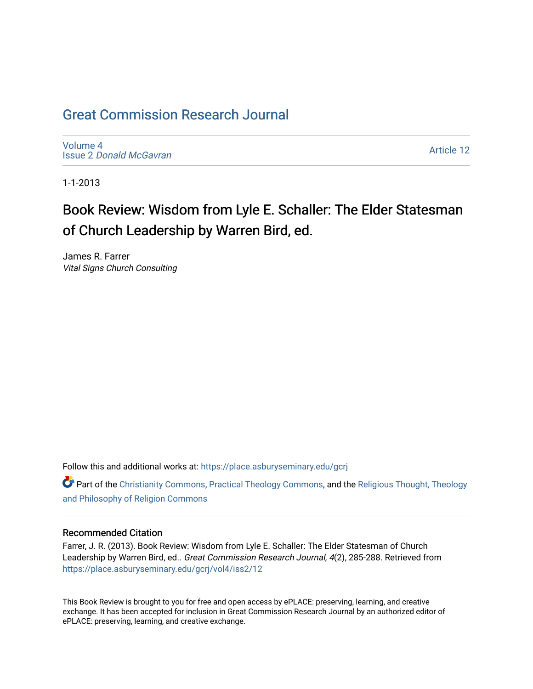## [Great Commission Research Journal](https://place.asburyseminary.edu/gcrj)

[Volume 4](https://place.asburyseminary.edu/gcrj/vol4) Issue 2 [Donald McGavran](https://place.asburyseminary.edu/gcrj/vol4/iss2) 

[Article 12](https://place.asburyseminary.edu/gcrj/vol4/iss2/12) 

1-1-2013

# Book Review: Wisdom from Lyle E. Schaller: The Elder Statesman of Church Leadership by Warren Bird, ed.

James R. Farrer Vital Signs Church Consulting

Follow this and additional works at: [https://place.asburyseminary.edu/gcrj](https://place.asburyseminary.edu/gcrj?utm_source=place.asburyseminary.edu%2Fgcrj%2Fvol4%2Fiss2%2F12&utm_medium=PDF&utm_campaign=PDFCoverPages) 

Part of the [Christianity Commons,](http://network.bepress.com/hgg/discipline/1181?utm_source=place.asburyseminary.edu%2Fgcrj%2Fvol4%2Fiss2%2F12&utm_medium=PDF&utm_campaign=PDFCoverPages) [Practical Theology Commons](http://network.bepress.com/hgg/discipline/1186?utm_source=place.asburyseminary.edu%2Fgcrj%2Fvol4%2Fiss2%2F12&utm_medium=PDF&utm_campaign=PDFCoverPages), and the [Religious Thought, Theology](http://network.bepress.com/hgg/discipline/544?utm_source=place.asburyseminary.edu%2Fgcrj%2Fvol4%2Fiss2%2F12&utm_medium=PDF&utm_campaign=PDFCoverPages)  [and Philosophy of Religion Commons](http://network.bepress.com/hgg/discipline/544?utm_source=place.asburyseminary.edu%2Fgcrj%2Fvol4%2Fiss2%2F12&utm_medium=PDF&utm_campaign=PDFCoverPages)

### Recommended Citation

Farrer, J. R. (2013). Book Review: Wisdom from Lyle E. Schaller: The Elder Statesman of Church Leadership by Warren Bird, ed.. Great Commission Research Journal, 4(2), 285-288. Retrieved from [https://place.asburyseminary.edu/gcrj/vol4/iss2/12](https://place.asburyseminary.edu/gcrj/vol4/iss2/12?utm_source=place.asburyseminary.edu%2Fgcrj%2Fvol4%2Fiss2%2F12&utm_medium=PDF&utm_campaign=PDFCoverPages) 

This Book Review is brought to you for free and open access by ePLACE: preserving, learning, and creative exchange. It has been accepted for inclusion in Great Commission Research Journal by an authorized editor of ePLACE: preserving, learning, and creative exchange.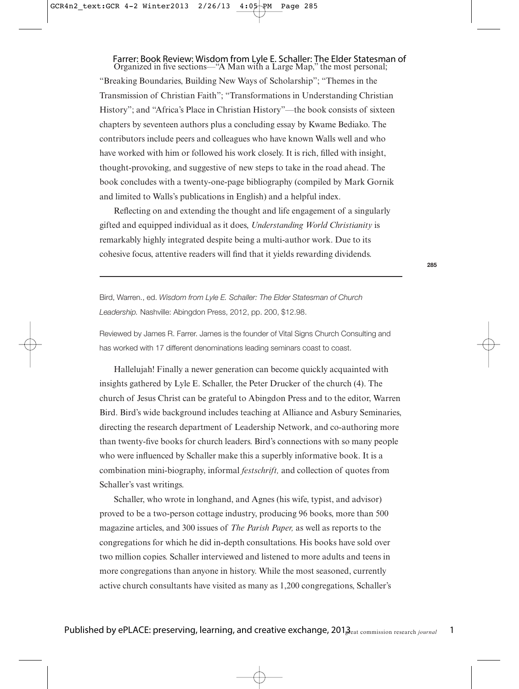## Farrer: Book Review: Wisdom from Lyle E. Schaller: The Elder Statesman of Organized in five sections—"A Man with a Large Map," the most personal;

"Breaking Boundaries, Building New Ways of Scholarship"; "Themes in the Transmission of Christian Faith"; "Transformations in Understanding Christian History"; and "Africa's Place in Christian History"—the book consists of sixteen chapters by seventeen authors plus a concluding essay by Kwame Bediako. The contributors include peers and colleagues who have known Walls well and who have worked with him or followed his work closely. It is rich, filled with insight, thought-provoking, and suggestive of new steps to take in the road ahead. The book concludes with a twenty-one-page bibliography (compiled by Mark Gornik and limited to Walls's publications in English) and a helpful index.

Reflecting on and extending the thought and life engagement of a singularly gifted and equipped individual as it does, *Understanding World Christianity* is remarkably highly integrated despite being a multi-author work. Due to its cohesive focus, attentive readers will find that it yields rewarding dividends.

**285**

Bird, Warren., ed. Wisdom from Lyle E. Schaller: The Elder Statesman of Church Leadership. Nashville: Abingdon Press, 2012, pp. 200, \$12.98.

Reviewed by James R. Farrer. James is the founder of Vital Signs Church Consulting and has worked with 17 different denominations leading seminars coast to coast.

Hallelujah! Finally a newer generation can become quickly acquainted with insights gathered by Lyle E. Schaller, the Peter Drucker of the church (4). The church of Jesus Christ can be grateful to Abingdon Press and to the editor, Warren Bird. Bird's wide background includes teaching at Alliance and Asbury Seminaries, directing the research department of Leadership Network, and co-authoring more than twenty-five books for church leaders. Bird's connections with so many people who were influenced by Schaller make this a superbly informative book. It is a combination mini-biography, informal *festschrift,* and collection of quotes from Schaller's vast writings.

Schaller, who wrote in longhand, and Agnes (his wife, typist, and advisor) proved to be a two-person cottage industry, producing 96 books, more than 500 magazine articles, and 300 issues of *The Parish Paper,* as well as reports to the congregations for which he did in-depth consultations. His books have sold over two million copies. Schaller interviewed and listened to more adults and teens in more congregations than anyone in history. While the most seasoned, currently active church consultants have visited as many as 1,200 congregations, Schaller's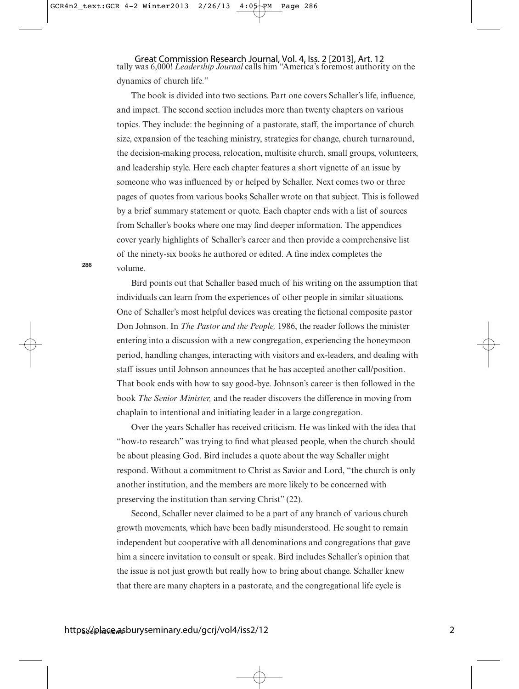Great Commission Research Journal, Vol. 4, Iss. 2 [2013], Art. 12<br>tally was 6,000! *Leadership Journal* calls him "America's foremost authority on the dynamics of church life."

The book is divided into two sections. Part one covers Schaller's life, influence, and impact. The second section includes more than twenty chapters on various topics. They include: the beginning of a pastorate, staff, the importance of church size, expansion of the teaching ministry, strategies for change, church turnaround, the decision-making process, relocation, multisite church, small groups, volunteers, and leadership style. Here each chapter features a short vignette of an issue by someone who was influenced by or helped by Schaller. Next comes two or three pages of quotes from various books Schaller wrote on that subject. This is followed by a brief summary statement or quote. Each chapter ends with a list of sources from Schaller's books where one may find deeper information. The appendices cover yearly highlights of Schaller's career and then provide a comprehensive list of the ninety-six books he authored or edited. A fine index completes the volume.

Bird points out that Schaller based much of his writing on the assumption that individuals can learn from the experiences of other people in similar situations. One of Schaller's most helpful devices was creating the fictional composite pastor Don Johnson. In *The Pastor and the People,* 1986, the reader follows the minister entering into a discussion with a new congregation, experiencing the honeymoon period, handling changes, interacting with visitors and ex-leaders, and dealing with staff issues until Johnson announces that he has accepted another call/position. That book ends with how to say good-bye. Johnson's career is then followed in the book *The Senior Minister,* and the reader discovers the difference in moving from chaplain to intentional and initiating leader in a large congregation.

Over the years Schaller has received criticism. He was linked with the idea that "how-to research" was trying to find what pleased people, when the church should be about pleasing God. Bird includes a quote about the way Schaller might respond. Without a commitment to Christ as Savior and Lord, "the church is only another institution, and the members are more likely to be concerned with preserving the institution than serving Christ" (22).

Second, Schaller never claimed to be a part of any branch of various church growth movements, which have been badly misunderstood. He sought to remain independent but cooperative with all denominations and congregations that gave him a sincere invitation to consult or speak. Bird includes Schaller's opinion that the issue is not just growth but really how to bring about change. Schaller knew that there are many chapters in a pastorate, and the congregational life cycle is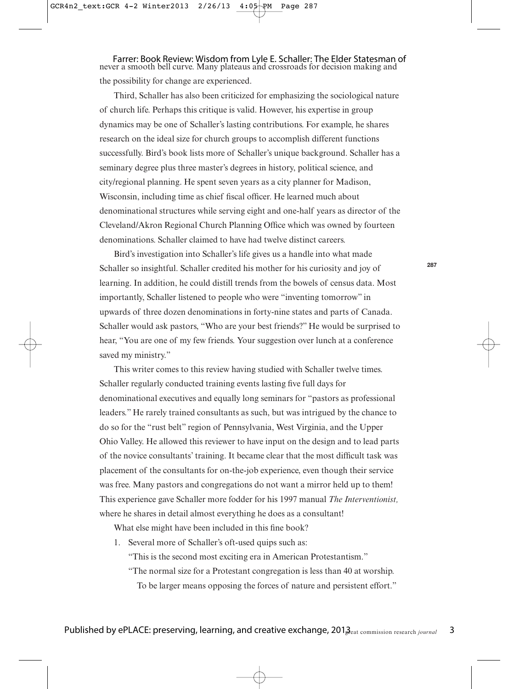Farrer: Book Review: Wisdom from Lyle E. Schaller: The Elder Statesman of never a smooth bell curve. Many plateaus and crossroads for decision making and the possibility for change are experienced.

Third, Schaller has also been criticized for emphasizing the sociological nature of church life. Perhaps this critique is valid. However, his expertise in group dynamics may be one of Schaller's lasting contributions. For example, he shares research on the ideal size for church groups to accomplish different functions successfully. Bird's book lists more of Schaller's unique background. Schaller has a seminary degree plus three master's degrees in history, political science, and city/regional planning. He spent seven years as a city planner for Madison, Wisconsin, including time as chief fiscal officer. He learned much about denominational structures while serving eight and one-half years as director of the Cleveland/Akron Regional Church Planning Office which was owned by fourteen denominations. Schaller claimed to have had twelve distinct careers.

Bird's investigation into Schaller's life gives us a handle into what made Schaller so insightful. Schaller credited his mother for his curiosity and joy of learning. In addition, he could distill trends from the bowels of census data. Most importantly, Schaller listened to people who were "inventing tomorrow" in upwards of three dozen denominations in forty-nine states and parts of Canada. Schaller would ask pastors, "Who are your best friends?" He would be surprised to hear, "You are one of my few friends. Your suggestion over lunch at a conference saved my ministry."

This writer comes to this review having studied with Schaller twelve times. Schaller regularly conducted training events lasting five full days for denominational executives and equally long seminars for "pastors as professional leaders." He rarely trained consultants as such, but was intrigued by the chance to do so for the "rust belt" region of Pennsylvania, West Virginia, and the Upper Ohio Valley. He allowed this reviewer to have input on the design and to lead parts of the novice consultants' training. It became clear that the most difficult task was placement of the consultants for on-the-job experience, even though their service was free. Many pastors and congregations do not want a mirror held up to them! This experience gave Schaller more fodder for his 1997 manual *The Interventionist,* where he shares in detail almost everything he does as a consultant!

What else might have been included in this fine book?

1. Several more of Schaller's oft-used quips such as:

"This is the second most exciting era in American Protestantism."

"The normal size for a Protestant congregation is less than 40 at worship. To be larger means opposing the forces of nature and persistent effort."